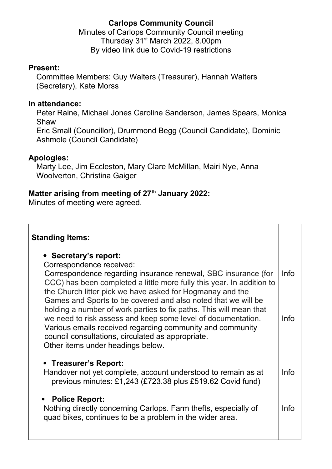# **Carlops Community Council**

Minutes of Carlops Community Council meeting Thursday 31st March 2022, 8.00pm By video link due to Covid-19 restrictions

### **Present:**

Committee Members: Guy Walters (Treasurer), Hannah Walters (Secretary), Kate Morss

### **In attendance:**

Peter Raine, Michael Jones Caroline Sanderson, James Spears, Monica Shaw

Eric Small (Councillor), Drummond Begg (Council Candidate), Dominic Ashmole (Council Candidate)

## **Apologies:**

Marty Lee, Jim Eccleston, Mary Clare McMillan, Mairi Nye, Anna Woolverton, Christina Gaiger

## **Matter arising from meeting of 27th January 2022:**

Minutes of meeting were agreed.

#### **Standing Items:**

### **Secretary's report:**

Correspondence received:

Correspondence regarding insurance renewal, SBC insurance (for CCC) has been completed a little more fully this year. In addition to the Church litter pick we have asked for Hogmanay and the Games and Sports to be covered and also noted that we will be holding a number of work parties to fix paths. This will mean that we need to risk assess and keep some level of documentation. Various emails received regarding community and community council consultations, circulated as appropriate. Other items under headings below. Info Info

### **Treasurer's Report:**

Handover not yet complete, account understood to remain as at previous minutes: £1,243 (£723.38 plus £519.62 Covid fund) Info

### **Police Report:**

Nothing directly concerning Carlops. Farm thefts, especially of quad bikes, continues to be a problem in the wider area. Info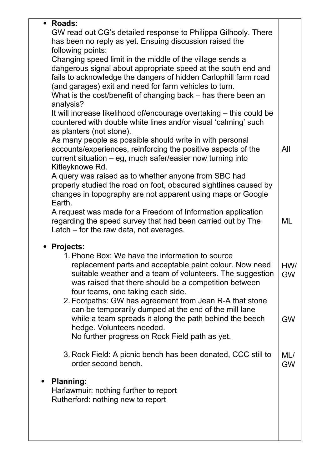| • Roads:                                                                                                                  |                                                                                                                          |           |  |
|---------------------------------------------------------------------------------------------------------------------------|--------------------------------------------------------------------------------------------------------------------------|-----------|--|
| GW read out CG's detailed response to Philippa Gilhooly. There<br>has been no reply as yet. Ensuing discussion raised the |                                                                                                                          |           |  |
|                                                                                                                           | following points:                                                                                                        |           |  |
|                                                                                                                           | Changing speed limit in the middle of the village sends a                                                                |           |  |
| dangerous signal about appropriate speed at the south end and                                                             |                                                                                                                          |           |  |
|                                                                                                                           | fails to acknowledge the dangers of hidden Carlophill farm road                                                          |           |  |
|                                                                                                                           | (and garages) exit and need for farm vehicles to turn.                                                                   |           |  |
| analysis?                                                                                                                 | What is the cost/benefit of changing back – has there been an                                                            |           |  |
|                                                                                                                           | It will increase likelihood of/encourage overtaking – this could be                                                      |           |  |
|                                                                                                                           | countered with double white lines and/or visual 'calming' such                                                           |           |  |
|                                                                                                                           | as planters (not stone).                                                                                                 |           |  |
|                                                                                                                           | As many people as possible should write in with personal                                                                 |           |  |
| accounts/experiences, reinforcing the positive aspects of the                                                             |                                                                                                                          | All       |  |
| current situation – eg, much safer/easier now turning into                                                                |                                                                                                                          |           |  |
| Kitleyknowe Rd.                                                                                                           |                                                                                                                          |           |  |
|                                                                                                                           | A query was raised as to whether anyone from SBC had<br>properly studied the road on foot, obscured sightlines caused by |           |  |
|                                                                                                                           | changes in topography are not apparent using maps or Google                                                              |           |  |
| Earth.                                                                                                                    |                                                                                                                          |           |  |
| A request was made for a Freedom of Information application                                                               |                                                                                                                          |           |  |
|                                                                                                                           | regarding the speed survey that had been carried out by The                                                              | ML        |  |
|                                                                                                                           | Latch – for the raw data, not averages.                                                                                  |           |  |
| • Projects:                                                                                                               |                                                                                                                          |           |  |
|                                                                                                                           | 1. Phone Box: We have the information to source                                                                          |           |  |
|                                                                                                                           | replacement parts and acceptable paint colour. Now need                                                                  | HW/       |  |
|                                                                                                                           | suitable weather and a team of volunteers. The suggestion                                                                | <b>GW</b> |  |
|                                                                                                                           | was raised that there should be a competition between                                                                    |           |  |
|                                                                                                                           | four teams, one taking each side.                                                                                        |           |  |
|                                                                                                                           | 2. Footpaths: GW has agreement from Jean R-A that stone<br>can be temporarily dumped at the end of the mill lane         |           |  |
|                                                                                                                           | while a team spreads it along the path behind the beech                                                                  | <b>GW</b> |  |
|                                                                                                                           | hedge. Volunteers needed.                                                                                                |           |  |
|                                                                                                                           | No further progress on Rock Field path as yet.                                                                           |           |  |
|                                                                                                                           |                                                                                                                          |           |  |
|                                                                                                                           | 3. Rock Field: A picnic bench has been donated, CCC still to                                                             | ML/       |  |
|                                                                                                                           | order second bench.                                                                                                      | <b>GW</b> |  |
| <b>Planning:</b>                                                                                                          |                                                                                                                          |           |  |
| Harlawmuir: nothing further to report                                                                                     |                                                                                                                          |           |  |
| Rutherford: nothing new to report                                                                                         |                                                                                                                          |           |  |
|                                                                                                                           |                                                                                                                          |           |  |
|                                                                                                                           |                                                                                                                          |           |  |
|                                                                                                                           |                                                                                                                          |           |  |